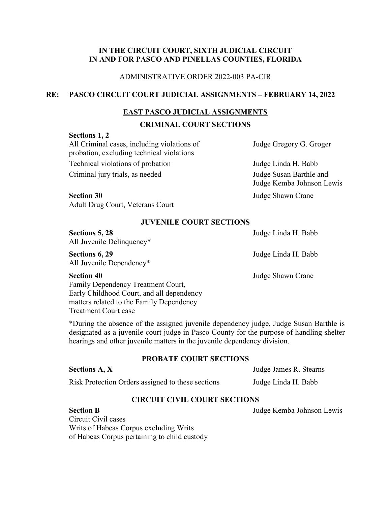# **IN THE CIRCUIT COURT, SIXTH JUDICIAL CIRCUIT IN AND FOR PASCO AND PINELLAS COUNTIES, FLORIDA**

## ADMINISTRATIVE ORDER 2022-003 PA-CIR

# **RE: PASCO CIRCUIT COURT JUDICIAL ASSIGNMENTS – FEBRUARY 14, 2022**

# **EAST PASCO JUDICIAL ASSIGNMENTS**

# **CRIMINAL COURT SECTIONS**

#### **Sections 1, 2**

All Criminal cases, including violations of Judge Gregory G. Groger probation, excluding technical violations Technical violations of probation Judge Linda H. Babb Criminal jury trials, as needed Judge Susan Barthle and

Judge Kemba Johnson Lewis

**Section 30** Judge Shawn Crane Adult Drug Court, Veterans Court

### **JUVENILE COURT SECTIONS**

| Sections 5, 28<br>All Juvenile Delinquency*             | Judge Linda H. Babb |
|---------------------------------------------------------|---------------------|
| Sections 6, 29<br>All Juvenile Dependency*              | Judge Linda H. Babb |
| <b>Section 40</b><br>Family Dependency Treatment Court, | Judge Shawn Crane   |
| Early Childhood Court, and all dependency               |                     |
| matters related to the Family Dependency                |                     |

\*During the absence of the assigned juvenile dependency judge, Judge Susan Barthle is designated as a juvenile court judge in Pasco County for the purpose of handling shelter hearings and other juvenile matters in the juvenile dependency division.

# **PROBATE COURT SECTIONS**

#### **Sections A, X** Judge James R. Stearns

Treatment Court case

Risk Protection Orders assigned to these sections Judge Linda H. Babb

# **CIRCUIT CIVIL COURT SECTIONS**

# **Section B** Judge Kemba Johnson Lewis Circuit Civil cases Writs of Habeas Corpus excluding Writs of Habeas Corpus pertaining to child custody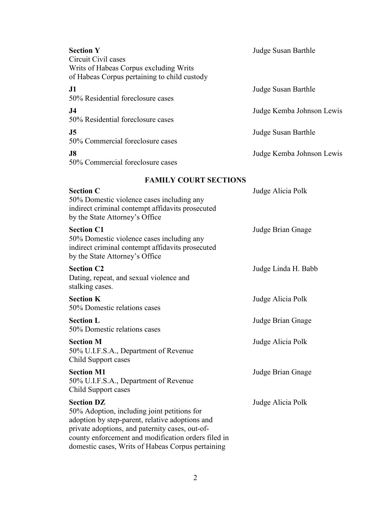| <b>Section Y</b><br>Circuit Civil cases                                                                                                                                                                                                                                            | Judge Susan Barthle       |
|------------------------------------------------------------------------------------------------------------------------------------------------------------------------------------------------------------------------------------------------------------------------------------|---------------------------|
| Writs of Habeas Corpus excluding Writs<br>of Habeas Corpus pertaining to child custody                                                                                                                                                                                             |                           |
| J1<br>50% Residential foreclosure cases                                                                                                                                                                                                                                            | Judge Susan Barthle       |
| J <sub>4</sub><br>50% Residential foreclosure cases                                                                                                                                                                                                                                | Judge Kemba Johnson Lewis |
| J <sub>5</sub><br>50% Commercial foreclosure cases                                                                                                                                                                                                                                 | Judge Susan Barthle       |
| J8<br>50% Commercial foreclosure cases                                                                                                                                                                                                                                             | Judge Kemba Johnson Lewis |
| <b>FAMILY COURT SECTIONS</b>                                                                                                                                                                                                                                                       |                           |
| <b>Section C</b><br>50% Domestic violence cases including any<br>indirect criminal contempt affidavits prosecuted<br>by the State Attorney's Office                                                                                                                                | Judge Alicia Polk         |
| <b>Section C1</b><br>50% Domestic violence cases including any<br>indirect criminal contempt affidavits prosecuted<br>by the State Attorney's Office                                                                                                                               | Judge Brian Gnage         |
| <b>Section C2</b><br>Dating, repeat, and sexual violence and<br>stalking cases.                                                                                                                                                                                                    | Judge Linda H. Babb       |
| <b>Section K</b><br>50% Domestic relations cases                                                                                                                                                                                                                                   | Judge Alicia Polk         |
| <b>Section L</b><br>50% Domestic relations cases                                                                                                                                                                                                                                   | Judge Brian Gnage         |
| <b>Section M</b><br>50% U.I.F.S.A., Department of Revenue<br>Child Support cases                                                                                                                                                                                                   | Judge Alicia Polk         |
| <b>Section M1</b><br>50% U.I.F.S.A., Department of Revenue<br>Child Support cases                                                                                                                                                                                                  | Judge Brian Gnage         |
| <b>Section DZ</b><br>50% Adoption, including joint petitions for<br>adoption by step-parent, relative adoptions and<br>private adoptions, and paternity cases, out-of-<br>county enforcement and modification orders filed in<br>domestic cases, Writs of Habeas Corpus pertaining | Judge Alicia Polk         |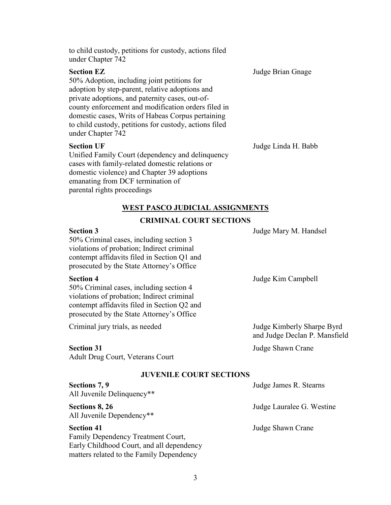| under Chapter 742                                                                                                                                                                                                                                                                                                                                                 |                     |
|-------------------------------------------------------------------------------------------------------------------------------------------------------------------------------------------------------------------------------------------------------------------------------------------------------------------------------------------------------------------|---------------------|
| <b>Section EZ</b><br>50% Adoption, including joint petitions for<br>adoption by step-parent, relative adoptions and<br>private adoptions, and paternity cases, out-of-<br>county enforcement and modification orders filed in<br>domestic cases, Writs of Habeas Corpus pertaining<br>to child custody, petitions for custody, actions filed<br>under Chapter 742 | Judge Brian Gnage   |
| <b>Section UF</b><br>Unified Family Court (dependency and delinquency<br>cases with family-related domestic relations or<br>domestic violence) and Chapter 39 adoptions                                                                                                                                                                                           | Judge Linda H. Babb |

#### **WEST PASCO JUDICIAL ASSIGNMENTS**

#### **CRIMINAL COURT SECTIONS**

#### **Section 3** Judge Mary M. Handsel

50% Criminal cases, including section 3 violations of probation; Indirect criminal contempt affidavits filed in Section Q1 and prosecuted by the State Attorney's Office

emanating from DCF termination of

parental rights proceedings

to child custody, petitions for custody, actions filed

50% Criminal cases, including section 4 violations of probation; Indirect criminal contempt affidavits filed in Section Q2 and prosecuted by the State Attorney's Office

Criminal jury trials, as needed Judge Kimberly Sharpe Byrd

Adult Drug Court, Veterans Court

**Section 4** Judge Kim Campbell

and Judge Declan P. Mansfield

**Section 31** Judge Shawn Crane

#### **JUVENILE COURT SECTIONS**

| Sections 7, 9<br>All Juvenile Delinquency** | Judge James R. Stearns    |
|---------------------------------------------|---------------------------|
| Sections 8, 26<br>All Juvenile Dependency** | Judge Lauralee G. Westine |
| <b>Section 41</b>                           | Judge Shawn Crane         |
| Family Dependency Treatment Court,          |                           |
| Early Childhood Court, and all dependency   |                           |
| matters related to the Family Dependency    |                           |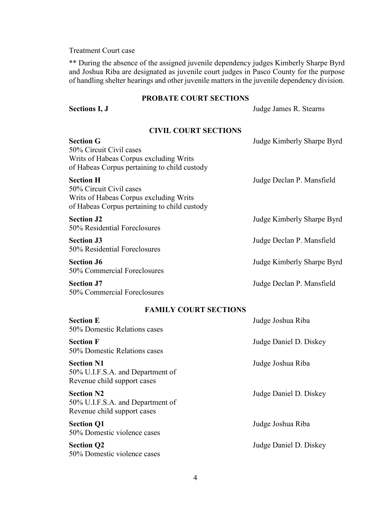### Treatment Court case

\*\* During the absence of the assigned juvenile dependency judges Kimberly Sharpe Byrd and Joshua Riba are designated as juvenile court judges in Pasco County for the purpose of handling shelter hearings and other juvenile matters in the juvenile dependency division.

#### **PROBATE COURT SECTIONS**

**Sections I, J** Judge James R. Stearns

# **CIVIL COURT SECTIONS**

| <b>Section G</b><br>50% Circuit Civil cases<br>Writs of Habeas Corpus excluding Writs<br>of Habeas Corpus pertaining to child custody | Judge Kimberly Sharpe Byrd |
|---------------------------------------------------------------------------------------------------------------------------------------|----------------------------|
| <b>Section H</b><br>50% Circuit Civil cases<br>Writs of Habeas Corpus excluding Writs<br>of Habeas Corpus pertaining to child custody | Judge Declan P. Mansfield  |
| <b>Section J2</b><br>50% Residential Foreclosures                                                                                     | Judge Kimberly Sharpe Byrd |
| <b>Section J3</b><br>50% Residential Foreclosures                                                                                     | Judge Declan P. Mansfield  |
| <b>Section J6</b><br>50% Commercial Foreclosures                                                                                      | Judge Kimberly Sharpe Byrd |
| <b>Section J7</b><br>50% Commercial Foreclosures                                                                                      | Judge Declan P. Mansfield  |

# **FAMILY COURT SECTIONS**

| <b>Section E</b><br>50% Domestic Relations cases                                     | Judge Joshua Riba      |
|--------------------------------------------------------------------------------------|------------------------|
| <b>Section F</b><br>50% Domestic Relations cases                                     | Judge Daniel D. Diskey |
| <b>Section N1</b><br>50% U.I.F.S.A. and Department of<br>Revenue child support cases | Judge Joshua Riba      |
| <b>Section N2</b><br>50% U.I.F.S.A. and Department of<br>Revenue child support cases | Judge Daniel D. Diskey |
| <b>Section Q1</b><br>50% Domestic violence cases                                     | Judge Joshua Riba      |
| <b>Section Q2</b><br>50% Domestic violence cases                                     | Judge Daniel D. Diskey |
|                                                                                      |                        |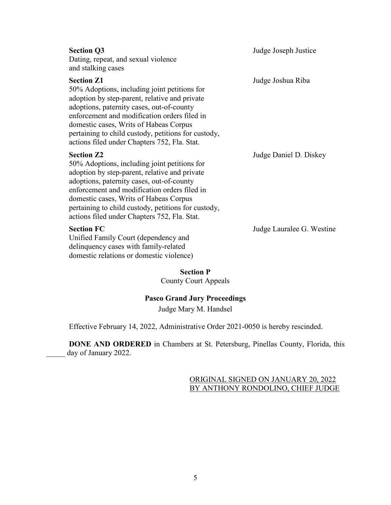| <b>Section Q3</b><br>Dating, repeat, and sexual violence<br>and stalking cases                                                                                                                                                                                                                                                                                   | Judge Joseph Justice   |
|------------------------------------------------------------------------------------------------------------------------------------------------------------------------------------------------------------------------------------------------------------------------------------------------------------------------------------------------------------------|------------------------|
| <b>Section Z1</b><br>50% Adoptions, including joint petitions for<br>adoption by step-parent, relative and private<br>adoptions, paternity cases, out-of-county<br>enforcement and modification orders filed in<br>domestic cases, Writs of Habeas Corpus<br>pertaining to child custody, petitions for custody,<br>actions filed under Chapters 752, Fla. Stat. | Judge Joshua Riba      |
| <b>Section Z2</b><br>50% Adoptions, including joint petitions for<br>adoption by step-parent, relative and private<br>adoptions, paternity cases, out-of-county<br>enforcement and modification orders filed in<br>domestic cases, Writs of Habeas Corpus<br>pertaining to child custody, petitions for custody,<br>actions filed under Chapters 752, Fla. Stat. | Judge Daniel D. Diskey |

Unified Family Court (dependency and delinquency cases with family-related domestic relations or domestic violence)

**Section FC** Judge Lauralee G. Westine

**Section P** County Court Appeals

## **Pasco Grand Jury Proceedings**

Judge Mary M. Handsel

Effective February 14, 2022, Administrative Order 2021-0050 is hereby rescinded.

**DONE AND ORDERED** in Chambers at St. Petersburg, Pinellas County, Florida, this day of January 2022.

# ORIGINAL SIGNED ON JANUARY 20, 2022 BY ANTHONY RONDOLINO, CHIEF JUDGE